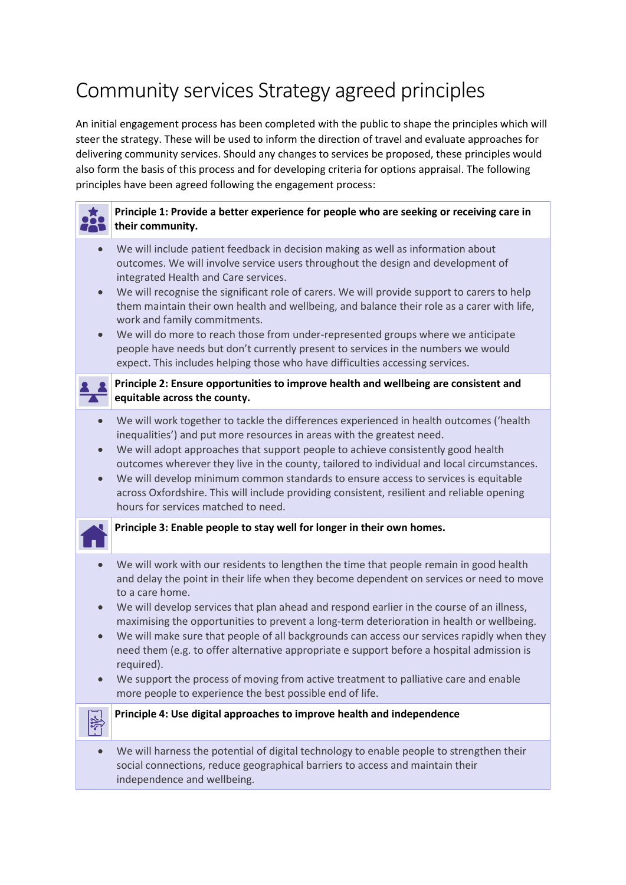# Community services Strategy agreed principles

An initial engagement process has been completed with the public to shape the principles which will steer the strategy. These will be used to inform the direction of travel and evaluate approaches for delivering community services. Should any changes to services be proposed, these principles would also form the basis of this process and for developing criteria for options appraisal. The following principles have been agreed following the engagement process:

### **Principle 1: Provide a better experience for people who are seeking or receiving care in their community.** • We will include patient feedback in decision making as well as information about outcomes. We will involve service users throughout the design and development of integrated Health and Care services. • We will recognise the significant role of carers. We will provide support to carers to help them maintain their own health and wellbeing, and balance their role as a carer with life, work and family commitments. • We will do more to reach those from under-represented groups where we anticipate people have needs but don't currently present to services in the numbers we would expect. This includes helping those who have difficulties accessing services. **Principle 2: Ensure opportunities to improve health and wellbeing are consistent and equitable across the county.** • We will work together to tackle the differences experienced in health outcomes ('health inequalities') and put more resources in areas with the greatest need. • We will adopt approaches that support people to achieve consistently good health outcomes wherever they live in the county, tailored to individual and local circumstances. • We will develop minimum common standards to ensure access to services is equitable across Oxfordshire. This will include providing consistent, resilient and reliable opening hours for services matched to need. **Principle 3: Enable people to stay well for longer in their own homes.**

- We will work with our residents to lengthen the time that people remain in good health and delay the point in their life when they become dependent on services or need to move to a care home.
- We will develop services that plan ahead and respond earlier in the course of an illness, maximising the opportunities to prevent a long-term deterioration in health or wellbeing.
- We will make sure that people of all backgrounds can access our services rapidly when they need them (e.g. to offer alternative appropriate e support before a hospital admission is required).
- We support the process of moving from active treatment to palliative care and enable more people to experience the best possible end of life.



• We will harness the potential of digital technology to enable people to strengthen their social connections, reduce geographical barriers to access and maintain their independence and wellbeing.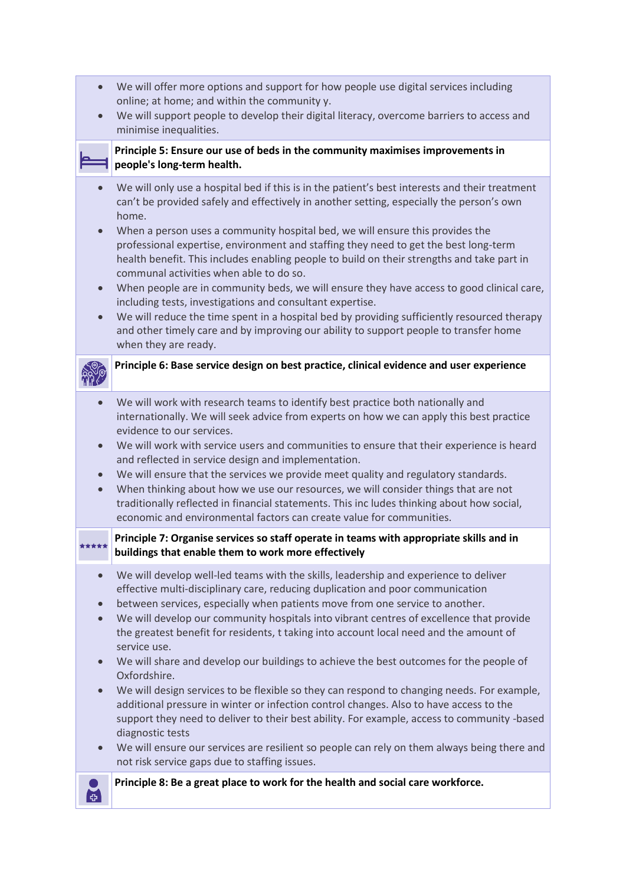- We will offer more options and support for how people use digital services including online; at home; and within the community y.
- We will support people to develop their digital literacy, overcome barriers to access and minimise inequalities.

### **Principle 5: Ensure our use of beds in the community maximises improvements in people's long-term health.**

- We will only use a hospital bed if this is in the patient's best interests and their treatment can't be provided safely and effectively in another setting, especially the person's own home.
- When a person uses a community hospital bed, we will ensure this provides the professional expertise, environment and staffing they need to get the best long-term health benefit. This includes enabling people to build on their strengths and take part in communal activities when able to do so.
- When people are in community beds, we will ensure they have access to good clinical care, including tests, investigations and consultant expertise.
- We will reduce the time spent in a hospital bed by providing sufficiently resourced therapy and other timely care and by improving our ability to support people to transfer home when they are ready.

## **Principle 6: Base service design on best practice, clinical evidence and user experience**

- We will work with research teams to identify best practice both nationally and internationally. We will seek advice from experts on how we can apply this best practice evidence to our services.
- We will work with service users and communities to ensure that their experience is heard and reflected in service design and implementation.
- We will ensure that the services we provide meet quality and regulatory standards.
- When thinking about how we use our resources, we will consider things that are not traditionally reflected in financial statements. This inc ludes thinking about how social, economic and environmental factors can create value for communities.

#### **Principle 7: Organise services so staff operate in teams with appropriate skills and in**  \*\*\*\*\* **buildings that enable them to work more effectively**

- We will develop well-led teams with the skills, leadership and experience to deliver effective multi-disciplinary care, reducing duplication and poor communication
- between services, especially when patients move from one service to another.
- We will develop our community hospitals into vibrant centres of excellence that provide the greatest benefit for residents, t taking into account local need and the amount of service use.
- We will share and develop our buildings to achieve the best outcomes for the people of Oxfordshire.
- We will design services to be flexible so they can respond to changing needs. For example, additional pressure in winter or infection control changes. Also to have access to the support they need to deliver to their best ability. For example, access to community -based diagnostic tests
- We will ensure our services are resilient so people can rely on them always being there and not risk service gaps due to staffing issues.

**Principle 8: Be a great place to work for the health and social care workforce.**

画